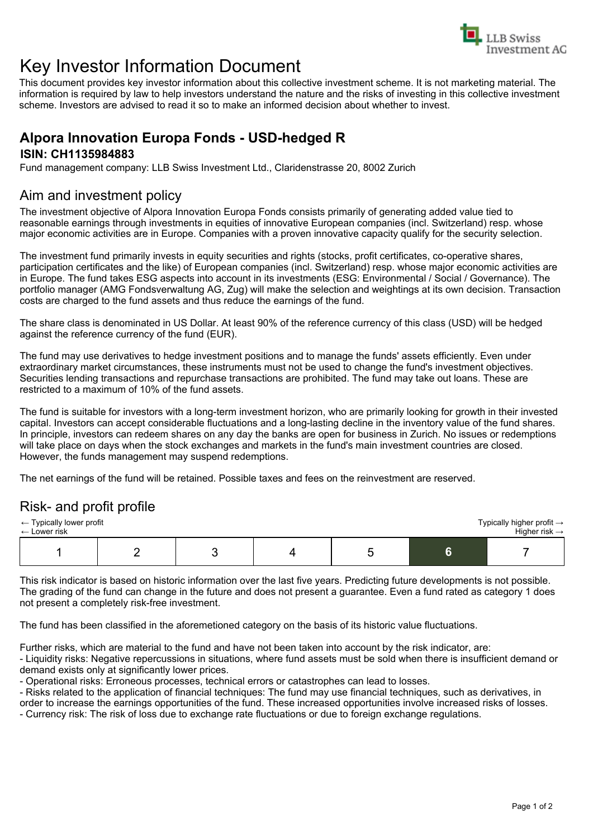

# Key Investor Information Document

This document provides key investor information about this collective investment scheme. It is not marketing material. The information is required by law to help investors understand the nature and the risks of investing in this collective investment scheme. Investors are advised to read it so to make an informed decision about whether to invest.

# **Alpora Innovation Europa Fonds - USD-hedged R**

#### **ISIN: CH1135984883**

Fund management company: LLB Swiss Investment Ltd., Claridenstrasse 20, 8002 Zurich

# Aim and investment policy

The investment objective of Alpora Innovation Europa Fonds consists primarily of generating added value tied to reasonable earnings through investments in equities of innovative European companies (incl. Switzerland) resp. whose major economic activities are in Europe. Companies with a proven innovative capacity qualify for the security selection.

The investment fund primarily invests in equity securities and rights (stocks, profit certificates, co-operative shares, participation certificates and the like) of European companies (incl. Switzerland) resp. whose major economic activities are in Europe. The fund takes ESG aspects into account in its investments (ESG: Environmental / Social / Governance). The portfolio manager (AMG Fondsverwaltung AG, Zug) will make the selection and weightings at its own decision. Transaction costs are charged to the fund assets and thus reduce the earnings of the fund.

The share class is denominated in US Dollar. At least 90% of the reference currency of this class (USD) will be hedged against the reference currency of the fund (EUR).

The fund may use derivatives to hedge investment positions and to manage the funds' assets efficiently. Even under extraordinary market circumstances, these instruments must not be used to change the fund's investment objectives. Securities lending transactions and repurchase transactions are prohibited. The fund may take out loans. These are restricted to a maximum of 10% of the fund assets.

The fund is suitable for investors with a long-term investment horizon, who are primarily looking for growth in their invested capital. Investors can accept considerable fluctuations and a long-lasting decline in the inventory value of the fund shares. In principle, investors can redeem shares on any day the banks are open for business in Zurich. No issues or redemptions will take place on days when the stock exchanges and markets in the fund's main investment countries are closed. However, the funds management may suspend redemptions.

The net earnings of the fund will be retained. Possible taxes and fees on the reinvestment are reserved.

## Risk- and profit profile

| $\leftarrow$ Typically lower profit |  |  |  |  |  | Typically higher profit $\rightarrow$ |
|-------------------------------------|--|--|--|--|--|---------------------------------------|
| $\leftarrow$ Lower risk             |  |  |  |  |  | Higher risk $\rightarrow$             |
|                                     |  |  |  |  |  |                                       |

This risk indicator is based on historic information over the last five years. Predicting future developments is not possible. The grading of the fund can change in the future and does not present a guarantee. Even a fund rated as category 1 does not present a completely risk-free investment.

The fund has been classified in the aforemetioned category on the basis of its historic value fluctuations.

Further risks, which are material to the fund and have not been taken into account by the risk indicator, are:

- Liquidity risks: Negative repercussions in situations, where fund assets must be sold when there is insufficient demand or demand exists only at significantly lower prices.

- Operational risks: Erroneous processes, technical errors or catastrophes can lead to losses.

- Risks related to the application of financial techniques: The fund may use financial techniques, such as derivatives, in order to increase the earnings opportunities of the fund. These increased opportunities involve increased risks of losses.

- Currency risk: The risk of loss due to exchange rate fluctuations or due to foreign exchange regulations.